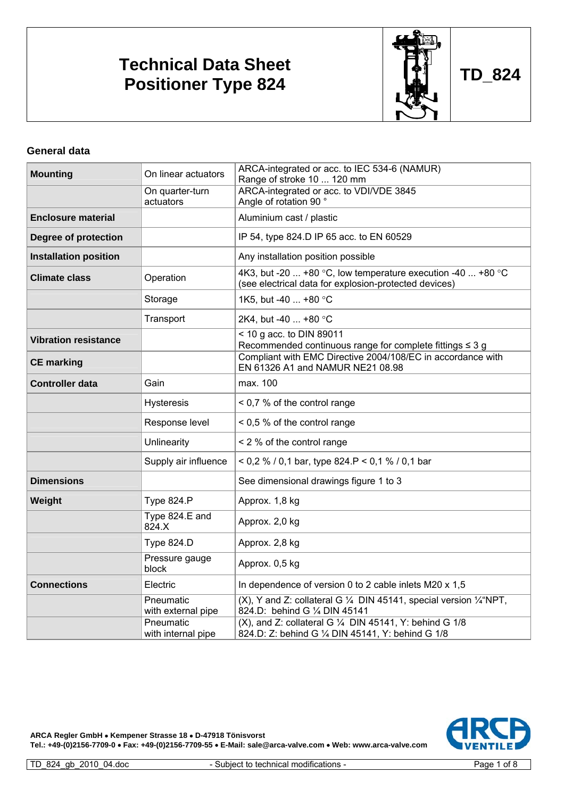# **Technical Data Sheet Positioner Type 824 CONSUMING THE RESIDENCE POSITION RESIDENCE TD\_824**



**General data** 

| <b>Mounting</b>              | On linear actuators             | ARCA-integrated or acc. to IEC 534-6 (NAMUR)<br>Range of stroke 10  120 mm                                               |
|------------------------------|---------------------------------|--------------------------------------------------------------------------------------------------------------------------|
|                              | On quarter-turn<br>actuators    | ARCA-integrated or acc. to VDI/VDE 3845<br>Angle of rotation 90 °                                                        |
| <b>Enclosure material</b>    |                                 | Aluminium cast / plastic                                                                                                 |
| <b>Degree of protection</b>  |                                 | IP 54, type 824.D IP 65 acc. to EN 60529                                                                                 |
| <b>Installation position</b> |                                 | Any installation position possible                                                                                       |
| <b>Climate class</b>         | Operation                       | 4K3, but -20  +80 °C, low temperature execution -40  +80 °C<br>(see electrical data for explosion-protected devices)     |
|                              | Storage                         | 1K5, but -40  +80 °C                                                                                                     |
|                              | Transport                       | 2K4, but -40  +80 °C                                                                                                     |
| <b>Vibration resistance</b>  |                                 | $<$ 10 g acc. to DIN 89011<br>Recommended continuous range for complete fittings $\leq 3$ g                              |
| <b>CE marking</b>            |                                 | Compliant with EMC Directive 2004/108/EC in accordance with<br>EN 61326 A1 and NAMUR NE21 08.98                          |
| <b>Controller data</b>       | Gain                            | max. 100                                                                                                                 |
|                              | <b>Hysteresis</b>               | < 0,7 % of the control range                                                                                             |
|                              | Response level                  | < 0,5 % of the control range                                                                                             |
|                              | Unlinearity                     | < 2 % of the control range                                                                                               |
|                              | Supply air influence            | < 0,2 % / 0,1 bar, type 824.P < 0,1 % / 0,1 bar                                                                          |
| <b>Dimensions</b>            |                                 | See dimensional drawings figure 1 to 3                                                                                   |
| Weight                       | <b>Type 824.P</b>               | Approx. 1,8 kg                                                                                                           |
|                              | Type 824.E and<br>824.X         | Approx. 2,0 kg                                                                                                           |
|                              | <b>Type 824.D</b>               | Approx. 2,8 kg                                                                                                           |
|                              | Pressure gauge<br>block         | Approx. 0,5 kg                                                                                                           |
| <b>Connections</b>           | Electric                        | In dependence of version 0 to 2 cable inlets M20 x 1,5                                                                   |
|                              | Pneumatic<br>with external pipe | (X), Y and Z: collateral G $\frac{1}{4}$ DIN 45141, special version $\frac{1}{4}$ "NPT,<br>824.D: behind G 1/4 DIN 45141 |
|                              | Pneumatic<br>with internal pipe | (X), and Z: collateral G 1/4 DIN 45141, Y: behind G 1/8<br>824.D: Z: behind G 1/4 DIN 45141, Y: behind G 1/8             |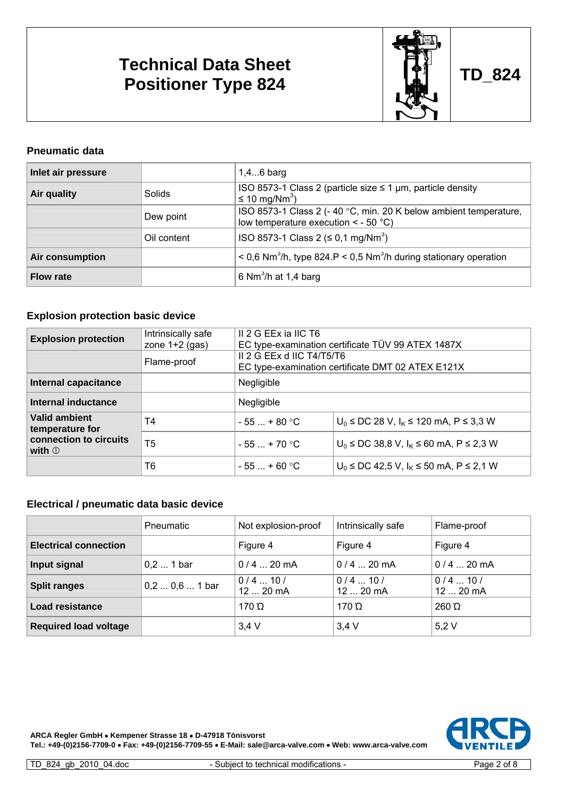# **Technical Data Sheet Positioner Type 824 CONSUMING THE RESIDENCE POSITION RESIDENCE TD\_824**



### **Pneumatic data**

| Inlet air pressure |             | $1,46$ barg                                                                                                   |
|--------------------|-------------|---------------------------------------------------------------------------------------------------------------|
| Air quality        | Solids      | ISO 8573-1 Class 2 (particle size $\leq$ 1 µm, particle density<br>≤ 10 mg/Nm <sup>3</sup> )                  |
|                    | Dew point   | ISO 8573-1 Class 2 (-40 °C, min. 20 K below ambient temperature,<br>low temperature execution $\leq$ - 50 °C) |
|                    | Oil content | ISO 8573-1 Class 2 ( $\leq$ 0.1 mg/Nm <sup>3</sup> )                                                          |
| Air consumption    |             | $\leq$ 0,6 Nm <sup>3</sup> /h, type 824.P $\leq$ 0,5 Nm <sup>3</sup> /h during stationary operation           |
| <b>Flow rate</b>   |             | ∣ 6 Nm <sup>3</sup> /h at 1,4 barg                                                                            |

### **Explosion protection basic device**

| <b>Explosion protection</b>                | Intrinsically safe<br>zone $1+2$ (gas) | II 2 G EEx ia IIC T6<br>EC type-examination certificate TÜV 99 ATEX 1487X      |                                             |  |  |  |  |  |
|--------------------------------------------|----------------------------------------|--------------------------------------------------------------------------------|---------------------------------------------|--|--|--|--|--|
|                                            | Flame-proof                            | II 2 G EEx d IIC T4/T5/T6<br>EC type-examination certificate DMT 02 ATEX E121X |                                             |  |  |  |  |  |
| Internal capacitance                       |                                        | Negligible                                                                     |                                             |  |  |  |  |  |
| Internal inductance                        |                                        | Negligible                                                                     |                                             |  |  |  |  |  |
| <b>Valid ambient</b><br>temperature for    | T4                                     | $-55$ $+80$ °C                                                                 | $U_0$ ≤ DC 28 V, $I_K$ ≤ 120 mA, P ≤ 3,3 W  |  |  |  |  |  |
| connection to circuits<br>with $\mathbb O$ | T5                                     | $-55 - +70$ °C                                                                 | $U_0$ ≤ DC 38,8 V, $I_K$ ≤ 60 mA, P ≤ 2,3 W |  |  |  |  |  |
|                                            | T6                                     | $-55 - + 60$ °C                                                                | $U_0$ ≤ DC 42,5 V, $I_K$ ≤ 50 mA, P ≤ 2,1 W |  |  |  |  |  |

### **Electrical / pneumatic data basic device**

|                              | Pneumatic         | Not explosion-proof     | Intrinsically safe  | Flame-proof         |
|------------------------------|-------------------|-------------------------|---------------------|---------------------|
| <b>Electrical connection</b> |                   | Figure 4                | Figure 4            | Figure 4            |
| Input signal                 | $0,2$ 1 bar       | $0/4$ 20 mA             | $0/4$ 20 mA         | $0/4$ 20 mA         |
| <b>Split ranges</b>          | $0, 2 0, 6 1$ bar | $0/4$ 10 /<br>12  20 mA | 0/410/<br>12  20 mA | 0/410/<br>12  20 mA |
| Load resistance              |                   | 170 $\Omega$            | 170 $\Omega$        | $260 \Omega$        |
| <b>Required load voltage</b> |                   | $3,4$ V                 | $3,4$ V             | 5,2V                |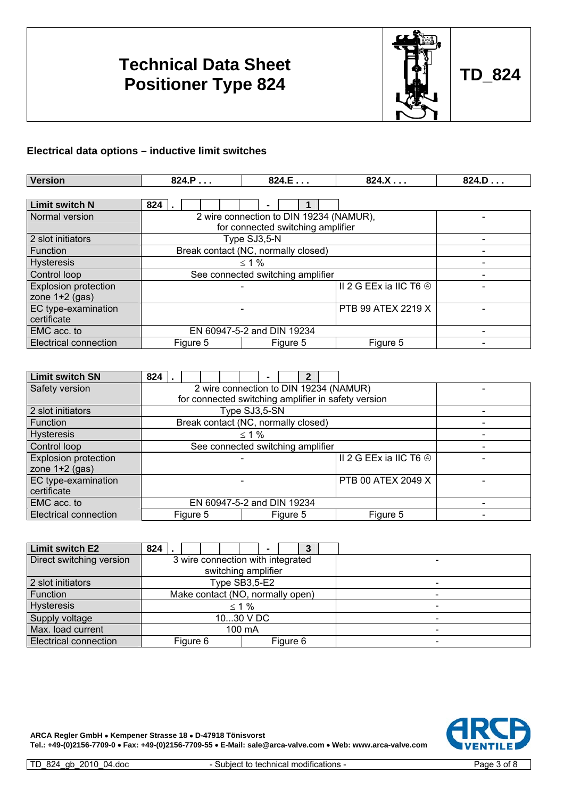# **Technical Data Sheet Positioner Type 824 CONSUMING THE RESIDENCE POSITION RESIDENCE TD\_824**



### **Electrical data options – inductive limit switches**

| <b>Version</b>               | 824.P                      | 824.E                                   | 824.X                             | 824.D |  |  |  |  |  |  |
|------------------------------|----------------------------|-----------------------------------------|-----------------------------------|-------|--|--|--|--|--|--|
|                              |                            |                                         |                                   |       |  |  |  |  |  |  |
| <b>Limit switch N</b>        | 824                        |                                         |                                   |       |  |  |  |  |  |  |
| Normal version               |                            | 2 wire connection to DIN 19234 (NAMUR), |                                   |       |  |  |  |  |  |  |
|                              |                            | for connected switching amplifier       |                                   |       |  |  |  |  |  |  |
| 2 slot initiators            |                            | Type SJ3,5-N                            |                                   |       |  |  |  |  |  |  |
| Function                     |                            | Break contact (NC, normally closed)     |                                   |       |  |  |  |  |  |  |
| <b>Hysteresis</b>            |                            | $\leq 1\%$                              |                                   |       |  |  |  |  |  |  |
| Control loop                 |                            | See connected switching amplifier       |                                   |       |  |  |  |  |  |  |
| <b>Explosion protection</b>  |                            |                                         | II 2 G EEx ia IIC T6 <sup>4</sup> |       |  |  |  |  |  |  |
| zone $1+2$ (gas)             |                            |                                         |                                   |       |  |  |  |  |  |  |
| EC type-examination          |                            |                                         |                                   |       |  |  |  |  |  |  |
| certificate                  |                            |                                         |                                   |       |  |  |  |  |  |  |
| EMC acc. to                  | EN 60947-5-2 and DIN 19234 |                                         |                                   |       |  |  |  |  |  |  |
| <b>Electrical connection</b> | Figure 5                   | Figure 5                                | Figure 5                          |       |  |  |  |  |  |  |

| <b>Limit switch SN</b>       | $824$ .                           |  |                                     |  |               |  |          | $\mathbf{2}$ |                                                     |  |
|------------------------------|-----------------------------------|--|-------------------------------------|--|---------------|--|----------|--------------|-----------------------------------------------------|--|
| Safety version               |                                   |  |                                     |  |               |  |          |              | 2 wire connection to DIN 19234 (NAMUR)              |  |
|                              |                                   |  |                                     |  |               |  |          |              | for connected switching amplifier in safety version |  |
| 2 slot initiators            |                                   |  |                                     |  | Type SJ3,5-SN |  |          |              |                                                     |  |
| Function                     |                                   |  | Break contact (NC, normally closed) |  |               |  |          |              |                                                     |  |
| <b>Hysteresis</b>            | $\leq 1\%$                        |  |                                     |  |               |  |          |              |                                                     |  |
| Control loop                 | See connected switching amplifier |  |                                     |  |               |  |          |              |                                                     |  |
| <b>Explosion protection</b>  | II 2 G EEx ia IIC T6 4            |  |                                     |  |               |  |          |              |                                                     |  |
| zone $1+2$ (gas)             |                                   |  |                                     |  |               |  |          |              |                                                     |  |
| EC type-examination          | PTB 00 ATEX 2049 X                |  |                                     |  |               |  |          |              |                                                     |  |
| certificate                  |                                   |  |                                     |  |               |  |          |              |                                                     |  |
| EMC acc. to                  | EN 60947-5-2 and DIN 19234        |  |                                     |  |               |  |          |              |                                                     |  |
| <b>Electrical connection</b> |                                   |  | Figure 5                            |  |               |  | Figure 5 |              | Figure 5                                            |  |

| <b>Limit switch E2</b>       | 824       |                                   |  |  |  |  |          |  |  |  |
|------------------------------|-----------|-----------------------------------|--|--|--|--|----------|--|--|--|
| Direct switching version     |           | 3 wire connection with integrated |  |  |  |  |          |  |  |  |
|                              |           | switching amplifier               |  |  |  |  |          |  |  |  |
| 2 slot initiators            |           | Type SB3,5-E2                     |  |  |  |  |          |  |  |  |
| Function                     |           | Make contact (NO, normally open)  |  |  |  |  |          |  |  |  |
| <b>Hysteresis</b>            |           | $\leq 1\%$                        |  |  |  |  |          |  |  |  |
| Supply voltage               | 1030 V DC |                                   |  |  |  |  |          |  |  |  |
| Max. load current            | 100 mA    |                                   |  |  |  |  |          |  |  |  |
| <b>Electrical connection</b> |           | Figure 6                          |  |  |  |  | Figure 6 |  |  |  |

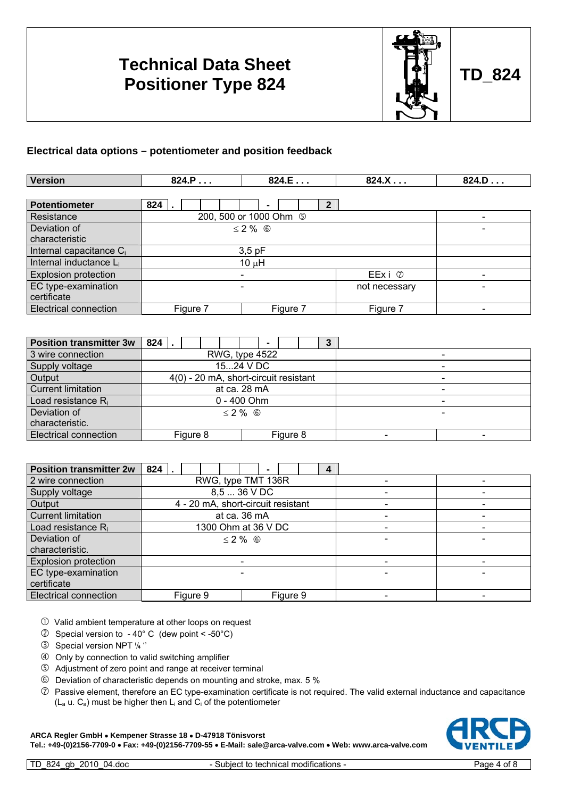## **Technical Data Sheet Positioner Type 824 CONSUMING THE POSITION RANGEMENT CONSUMING TO A 24**



#### **Electrical data options – potentiometer and position feedback**

| <b>Version</b>                      | 824.P    | 824.E                     | 824.X    | 824.D |  |  |  |  |  |  |
|-------------------------------------|----------|---------------------------|----------|-------|--|--|--|--|--|--|
|                                     |          |                           |          |       |  |  |  |  |  |  |
| <b>Potentiometer</b>                | 824      | $\mathbf{2}$              |          |       |  |  |  |  |  |  |
| Resistance                          |          | 200, 500 or 1000 Ohm 5    |          |       |  |  |  |  |  |  |
| Deviation of                        |          | $\leq$ 2 % $\circledcirc$ |          |       |  |  |  |  |  |  |
| characteristic                      |          |                           |          |       |  |  |  |  |  |  |
| Internal capacitance C <sub>i</sub> |          | $3,5$ pF                  |          |       |  |  |  |  |  |  |
| Internal inductance L <sub>i</sub>  |          | $10 \mu H$                |          |       |  |  |  |  |  |  |
| <b>Explosion protection</b>         |          |                           |          |       |  |  |  |  |  |  |
| EC type-examination                 |          |                           |          |       |  |  |  |  |  |  |
| certificate                         |          |                           |          |       |  |  |  |  |  |  |
| <b>Electrical connection</b>        | Figure 7 | Figure 7                  | Figure 7 |       |  |  |  |  |  |  |

| Position transmitter 3w        | 824      |                                       | 3 |
|--------------------------------|----------|---------------------------------------|---|
| 3 wire connection              |          | RWG, type 4522                        |   |
| Supply voltage                 |          | 1524 V DC                             |   |
| Output                         |          | 4(0) - 20 mA, short-circuit resistant |   |
| <b>Current limitation</b>      |          | at ca. 28 mA                          |   |
| Load resistance R <sub>i</sub> |          | $0 - 400$ Ohm                         |   |
| Deviation of                   |          | $< 2 \%$ 6                            |   |
| characteristic.                |          |                                       |   |
| <b>Electrical connection</b>   | Figure 8 | Figure 8                              |   |

| <b>Position transmitter 2w</b> | 824 |                           |                                    |  |              |  |          |  | 4 |  |
|--------------------------------|-----|---------------------------|------------------------------------|--|--------------|--|----------|--|---|--|
| 2 wire connection              |     | RWG, type TMT 136R        |                                    |  |              |  |          |  |   |  |
| Supply voltage                 |     |                           |                                    |  | 8.5  36 V DC |  |          |  |   |  |
| Output                         |     |                           | 4 - 20 mA, short-circuit resistant |  |              |  |          |  |   |  |
| <b>Current limitation</b>      |     | at ca. 36 mA              |                                    |  |              |  |          |  |   |  |
| Load resistance R <sub>i</sub> |     |                           | 1300 Ohm at 36 V DC                |  |              |  |          |  |   |  |
| Deviation of                   |     | $\leq$ 2 % $\circledcirc$ |                                    |  |              |  |          |  |   |  |
| characteristic.                |     |                           |                                    |  |              |  |          |  |   |  |
| <b>Explosion protection</b>    |     |                           |                                    |  |              |  |          |  |   |  |
| <b>EC</b> type-examination     |     |                           |                                    |  |              |  |          |  |   |  |
| certificate                    |     |                           |                                    |  |              |  |          |  |   |  |
| <b>Electrical connection</b>   |     | Figure 9                  |                                    |  |              |  | Figure 9 |  |   |  |

 $\odot$  Valid ambient temperature at other loops on request

- $\textcircled{2}$  Special version to 40° C (dew point < -50°C)
- <sup>3</sup> Special version NPT '/4"
- **4** Only by connection to valid switching amplifier
- g Adjustment of zero point and range at receiver terminal
- $\odot$  Deviation of characteristic depends on mounting and stroke, max. 5 %
- $\oslash$  Passive element, therefore an EC type-examination certificate is not required. The valid external inductance and capacitance  $(L_a u, C_a)$  must be higher then  $L_i$  and  $C_i$  of the potentiometer

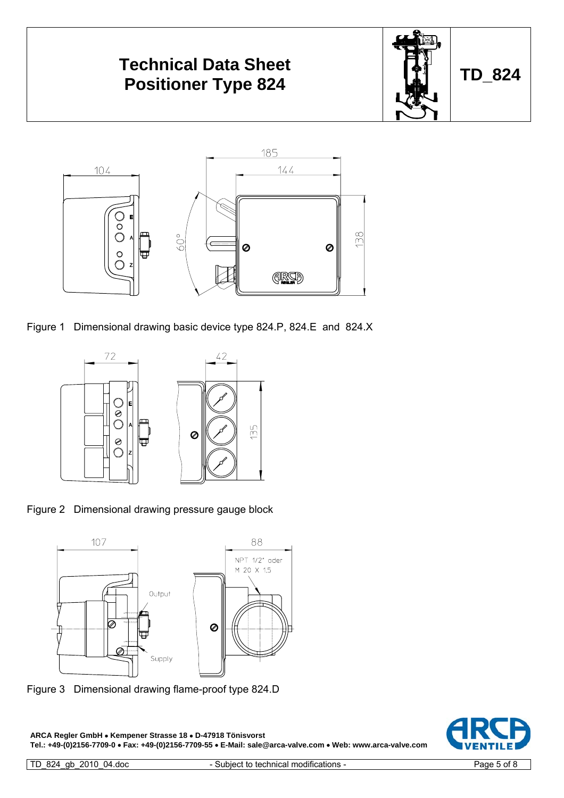

Figure 1 Dimensional drawing basic device type 824.P, 824.E and 824.X



Figure 2 Dimensional drawing pressure gauge block



Figure 3 Dimensional drawing flame-proof type 824.D

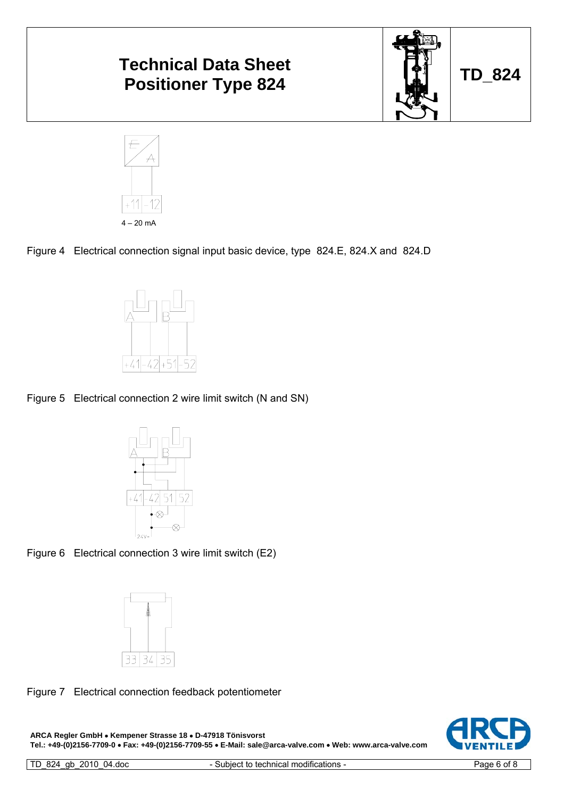

Figure 4 Electrical connection signal input basic device, type 824.E, 824.X and 824.D



 $20 \text{ m}$ 

Figure 5 Electrical connection 2 wire limit switch (N and SN)









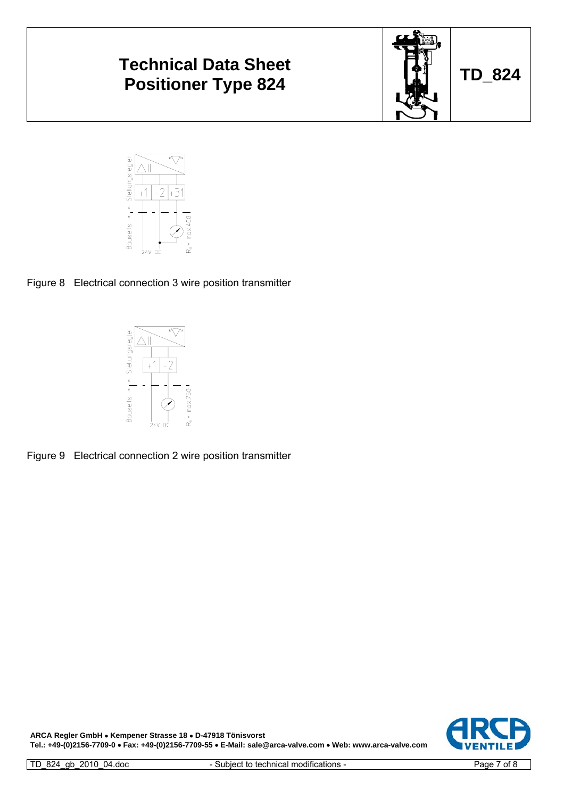